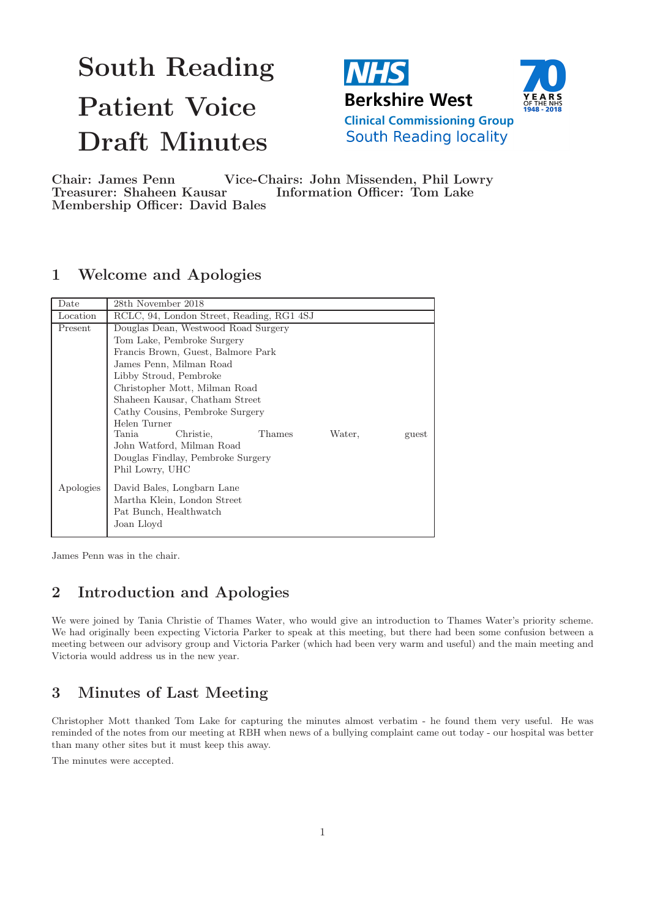# South Reading Patient Voice Draft Minutes





Chair: James Penn Vice-Chairs: John Missenden, Phil Lowry Treasurer: Shaheen Kausar Information Officer: Tom Lake Membership Officer: David Bales

# 1 Welcome and Apologies

| Date      | 28th November 2018                                     |  |  |  |  |
|-----------|--------------------------------------------------------|--|--|--|--|
| Location  | RCLC, 94, London Street, Reading, RG1 4SJ              |  |  |  |  |
| Present   | Douglas Dean, Westwood Road Surgery                    |  |  |  |  |
|           | Tom Lake, Pembroke Surgery                             |  |  |  |  |
|           | Francis Brown, Guest, Balmore Park                     |  |  |  |  |
|           | James Penn, Milman Road                                |  |  |  |  |
|           | Libby Stroud, Pembroke                                 |  |  |  |  |
|           | Christopher Mott, Milman Road                          |  |  |  |  |
|           | Shaheen Kausar, Chatham Street                         |  |  |  |  |
|           | Cathy Cousins, Pembroke Surgery                        |  |  |  |  |
|           | Helen Turner                                           |  |  |  |  |
|           | Christie,<br><b>Thames</b><br>Tania<br>Water.<br>guest |  |  |  |  |
|           | John Watford, Milman Road                              |  |  |  |  |
|           | Douglas Findlay, Pembroke Surgery                      |  |  |  |  |
|           | Phil Lowry, UHC                                        |  |  |  |  |
| Apologies | David Bales, Longbarn Lane                             |  |  |  |  |
|           | Martha Klein, London Street                            |  |  |  |  |
|           | Pat Bunch, Healthwatch                                 |  |  |  |  |
|           |                                                        |  |  |  |  |
|           | Joan Lloyd                                             |  |  |  |  |

James Penn was in the chair.

# 2 Introduction and Apologies

We were joined by Tania Christie of Thames Water, who would give an introduction to Thames Water's priority scheme. We had originally been expecting Victoria Parker to speak at this meeting, but there had been some confusion between a meeting between our advisory group and Victoria Parker (which had been very warm and useful) and the main meeting and Victoria would address us in the new year.

# 3 Minutes of Last Meeting

Christopher Mott thanked Tom Lake for capturing the minutes almost verbatim - he found them very useful. He was reminded of the notes from our meeting at RBH when news of a bullying complaint came out today - our hospital was better than many other sites but it must keep this away.

The minutes were accepted.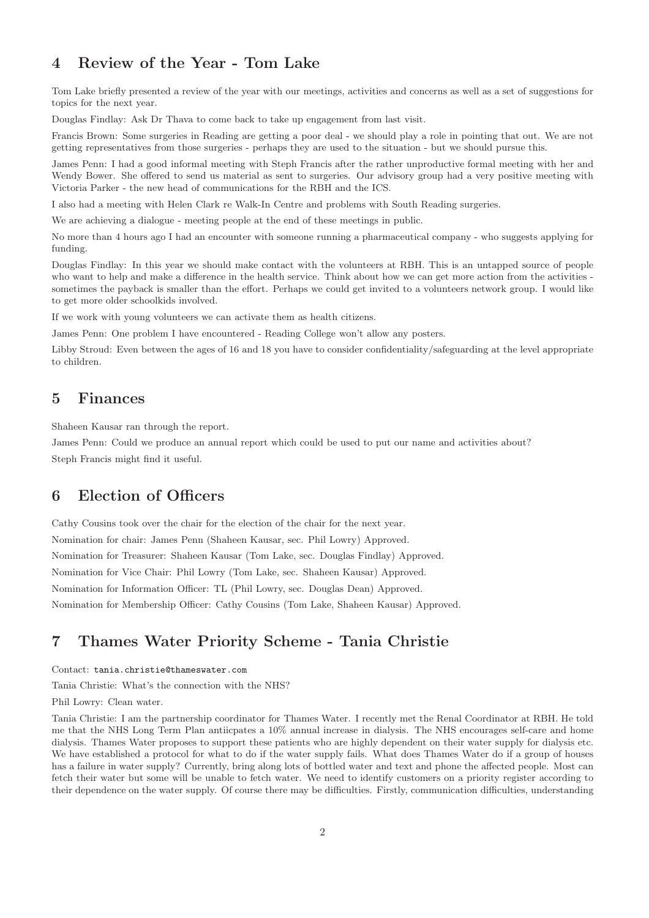# 4 Review of the Year - Tom Lake

Tom Lake briefly presented a review of the year with our meetings, activities and concerns as well as a set of suggestions for topics for the next year.

Douglas Findlay: Ask Dr Thava to come back to take up engagement from last visit.

Francis Brown: Some surgeries in Reading are getting a poor deal - we should play a role in pointing that out. We are not getting representatives from those surgeries - perhaps they are used to the situation - but we should pursue this.

James Penn: I had a good informal meeting with Steph Francis after the rather unproductive formal meeting with her and Wendy Bower. She offered to send us material as sent to surgeries. Our advisory group had a very positive meeting with Victoria Parker - the new head of communications for the RBH and the ICS.

I also had a meeting with Helen Clark re Walk-In Centre and problems with South Reading surgeries.

We are achieving a dialogue - meeting people at the end of these meetings in public.

No more than 4 hours ago I had an encounter with someone running a pharmaceutical company - who suggests applying for funding.

Douglas Findlay: In this year we should make contact with the volunteers at RBH. This is an untapped source of people who want to help and make a difference in the health service. Think about how we can get more action from the activities sometimes the payback is smaller than the effort. Perhaps we could get invited to a volunteers network group. I would like to get more older schoolkids involved.

If we work with young volunteers we can activate them as health citizens.

James Penn: One problem I have encountered - Reading College won't allow any posters.

Libby Stroud: Even between the ages of 16 and 18 you have to consider confidentiality/safeguarding at the level appropriate to children.

#### 5 Finances

Shaheen Kausar ran through the report.

James Penn: Could we produce an annual report which could be used to put our name and activities about? Steph Francis might find it useful.

#### 6 Election of Officers

Cathy Cousins took over the chair for the election of the chair for the next year. Nomination for chair: James Penn (Shaheen Kausar, sec. Phil Lowry) Approved. Nomination for Treasurer: Shaheen Kausar (Tom Lake, sec. Douglas Findlay) Approved. Nomination for Vice Chair: Phil Lowry (Tom Lake, sec. Shaheen Kausar) Approved. Nomination for Information Officer: TL (Phil Lowry, sec. Douglas Dean) Approved. Nomination for Membership Officer: Cathy Cousins (Tom Lake, Shaheen Kausar) Approved.

# 7 Thames Water Priority Scheme - Tania Christie

#### Contact: tania.christie@thameswater.com

Tania Christie: What's the connection with the NHS?

Phil Lowry: Clean water.

Tania Christie: I am the partnership coordinator for Thames Water. I recently met the Renal Coordinator at RBH. He told me that the NHS Long Term Plan antiicpates a 10% annual increase in dialysis. The NHS encourages self-care and home dialysis. Thames Water proposes to support these patients who are highly dependent on their water supply for dialysis etc. We have established a protocol for what to do if the water supply fails. What does Thames Water do if a group of houses has a failure in water supply? Currently, bring along lots of bottled water and text and phone the affected people. Most can fetch their water but some will be unable to fetch water. We need to identify customers on a priority register according to their dependence on the water supply. Of course there may be difficulties. Firstly, communication difficulties, understanding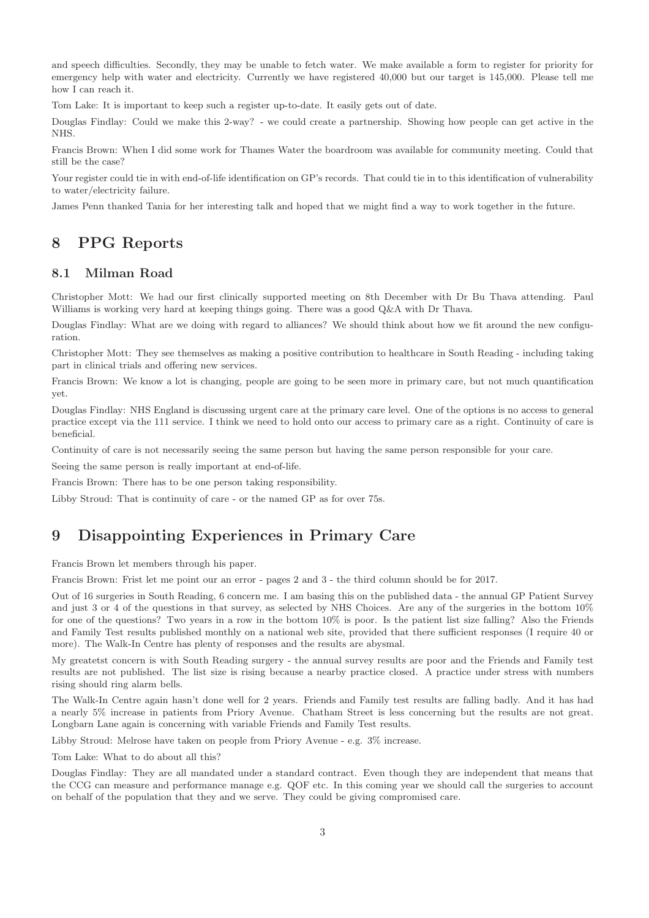and speech difficulties. Secondly, they may be unable to fetch water. We make available a form to register for priority for emergency help with water and electricity. Currently we have registered 40,000 but our target is 145,000. Please tell me how I can reach it.

Tom Lake: It is important to keep such a register up-to-date. It easily gets out of date.

Douglas Findlay: Could we make this 2-way? - we could create a partnership. Showing how people can get active in the NHS.

Francis Brown: When I did some work for Thames Water the boardroom was available for community meeting. Could that still be the case?

Your register could tie in with end-of-life identification on GP's records. That could tie in to this identification of vulnerability to water/electricity failure.

James Penn thanked Tania for her interesting talk and hoped that we might find a way to work together in the future.

#### 8 PPG Reports

#### 8.1 Milman Road

Christopher Mott: We had our first clinically supported meeting on 8th December with Dr Bu Thava attending. Paul Williams is working very hard at keeping things going. There was a good  $Q\&A$  with Dr Thava.

Douglas Findlay: What are we doing with regard to alliances? We should think about how we fit around the new configuration.

Christopher Mott: They see themselves as making a positive contribution to healthcare in South Reading - including taking part in clinical trials and offering new services.

Francis Brown: We know a lot is changing, people are going to be seen more in primary care, but not much quantification yet.

Douglas Findlay: NHS England is discussing urgent care at the primary care level. One of the options is no access to general practice except via the 111 service. I think we need to hold onto our access to primary care as a right. Continuity of care is beneficial.

Continuity of care is not necessarily seeing the same person but having the same person responsible for your care.

Seeing the same person is really important at end-of-life.

Francis Brown: There has to be one person taking responsibility.

Libby Stroud: That is continuity of care - or the named GP as for over 75s.

### 9 Disappointing Experiences in Primary Care

Francis Brown let members through his paper.

Francis Brown: Frist let me point our an error - pages 2 and 3 - the third column should be for 2017.

Out of 16 surgeries in South Reading, 6 concern me. I am basing this on the published data - the annual GP Patient Survey and just 3 or 4 of the questions in that survey, as selected by NHS Choices. Are any of the surgeries in the bottom 10% for one of the questions? Two years in a row in the bottom 10% is poor. Is the patient list size falling? Also the Friends and Family Test results published monthly on a national web site, provided that there sufficient responses (I require 40 or more). The Walk-In Centre has plenty of responses and the results are abysmal.

My greatetst concern is with South Reading surgery - the annual survey results are poor and the Friends and Family test results are not published. The list size is rising because a nearby practice closed. A practice under stress with numbers rising should ring alarm bells.

The Walk-In Centre again hasn't done well for 2 years. Friends and Family test results are falling badly. And it has had a nearly 5% increase in patients from Priory Avenue. Chatham Street is less concerning but the results are not great. Longbarn Lane again is concerning with variable Friends and Family Test results.

Libby Stroud: Melrose have taken on people from Priory Avenue - e.g. 3% increase.

Tom Lake: What to do about all this?

Douglas Findlay: They are all mandated under a standard contract. Even though they are independent that means that the CCG can measure and performance manage e.g. QOF etc. In this coming year we should call the surgeries to account on behalf of the population that they and we serve. They could be giving compromised care.